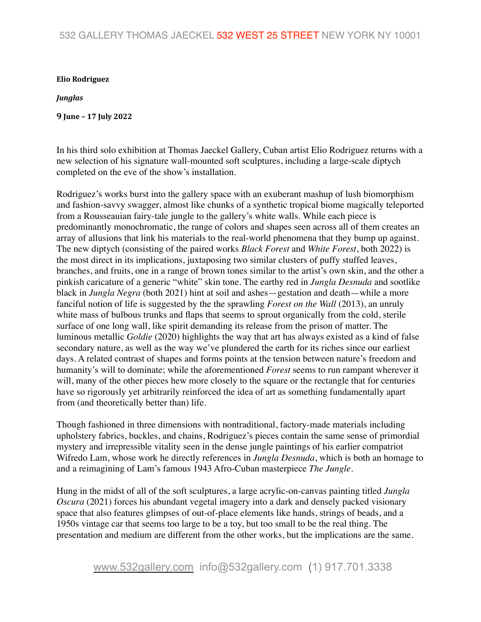## 532 GALLERY THOMAS JAECKEL 532 WEST 25 STREET NEW YORK NY 10001

## **Elio Rodriguez**

## *Junglas*

**9 June – 17 July 2022**

In his third solo exhibition at Thomas Jaeckel Gallery, Cuban artist Elio Rodriguez returns with a new selection of his signature wall-mounted soft sculptures, including a large-scale diptych completed on the eve of the show's installation.

Rodriguez's works burst into the gallery space with an exuberant mashup of lush biomorphism and fashion-savvy swagger, almost like chunks of a synthetic tropical biome magically teleported from a Rousseauian fairy-tale jungle to the gallery's white walls. While each piece is predominantly monochromatic, the range of colors and shapes seen across all of them creates an array of allusions that link his materials to the real-world phenomena that they bump up against. The new diptych (consisting of the paired works *Black Forest* and *White Forest*, both 2022) is the most direct in its implications, juxtaposing two similar clusters of puffy stuffed leaves, branches, and fruits, one in a range of brown tones similar to the artist's own skin, and the other a pinkish caricature of a generic "white" skin tone. The earthy red in *Jungla Desnuda* and sootlike black in *Jungla Negra* (both 2021) hint at soil and ashes—gestation and death—while a more fanciful notion of life is suggested by the the sprawling *Forest on the Wall* (2013), an unruly white mass of bulbous trunks and flaps that seems to sprout organically from the cold, sterile surface of one long wall, like spirit demanding its release from the prison of matter. The luminous metallic *Goldie* (2020) highlights the way that art has always existed as a kind of false secondary nature, as well as the way we've plundered the earth for its riches since our earliest days. A related contrast of shapes and forms points at the tension between nature's freedom and humanity's will to dominate; while the aforementioned *Forest* seems to run rampant wherever it will, many of the other pieces hew more closely to the square or the rectangle that for centuries have so rigorously yet arbitrarily reinforced the idea of art as something fundamentally apart from (and theoretically better than) life.

Though fashioned in three dimensions with nontraditional, factory-made materials including upholstery fabrics, buckles, and chains, Rodriguez's pieces contain the same sense of primordial mystery and irrepressible vitality seen in the dense jungle paintings of his earlier compatriot Wifredo Lam, whose work he directly references in *Jungla Desnuda*, which is both an homage to and a reimagining of Lam's famous 1943 Afro-Cuban masterpiece *The Jungle*.

Hung in the midst of all of the soft sculptures, a large acrylic-on-canvas painting titled *Jungla Oscura* (2021) forces his abundant vegetal imagery into a dark and densely packed visionary space that also features glimpses of out-of-place elements like hands, strings of beads, and a 1950s vintage car that seems too large to be a toy, but too small to be the real thing. The presentation and medium are different from the other works, but the implications are the same.